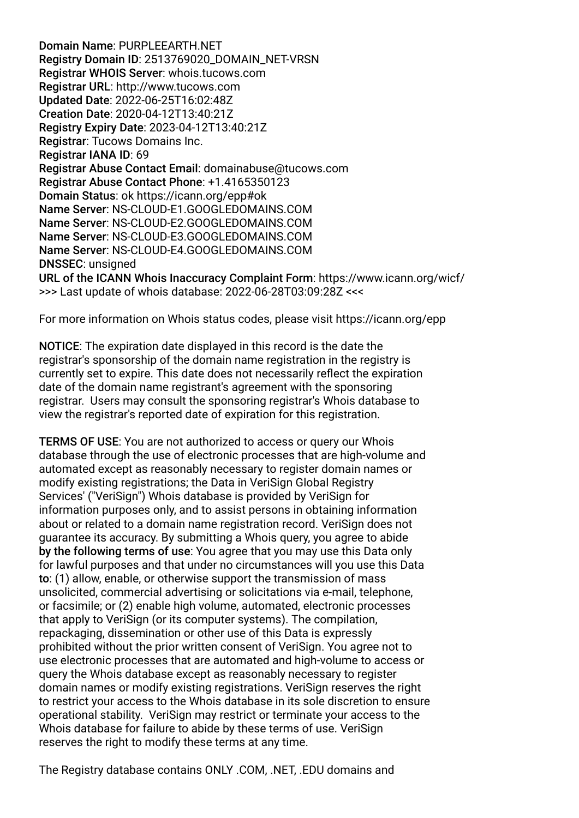Domain Name: PURPLEEARTH.NET Registry Domain ID: 2513769020\_DOMAIN\_NET-VRSN Registrar WHOIS Server: whois.tucows.com Registrar URL: http://www.tucows.com Updated Date: 2022-06-25T16:02:48Z Creation Date: 2020-04-12T13:40:21Z Registry Expiry Date: 2023-04-12T13:40:21Z Registrar: Tucows Domains Inc. Registrar IANA ID: 69 Registrar Abuse Contact Email: domainabuse@tucows.com Registrar Abuse Contact Phone: +1.4165350123 Domain Status: ok https://icann.org/epp#ok Name Server: NS-CLOUD-E1.GOOGLEDOMAINS.COM Name Server: NS-CLOUD-E2.GOOGLEDOMAINS.COM Name Server: NS-CLOUD-E3.GOOGLEDOMAINS.COM Name Server: NS-CLOUD-E4.GOOGLEDOMAINS.COM DNSSEC: unsigned URL of the ICANN Whois Inaccuracy Complaint Form: https://www.icann.org/wicf/ >>> Last update of whois database: 2022-06-28T03:09:28Z <<<

For more information on Whois status codes, please visit https://icann.org/epp

NOTICE: The expiration date displayed in this record is the date the registrar's sponsorship of the domain name registration in the registry is currently set to expire. This date does not necessarily refect the expiration date of the domain name registrant's agreement with the sponsoring registrar. Users may consult the sponsoring registrar's Whois database to view the registrar's reported date of expiration for this registration.

TERMS OF USE: You are not authorized to access or query our Whois database through the use of electronic processes that are high-volume and automated except as reasonably necessary to register domain names or modify existing registrations; the Data in VeriSign Global Registry Services' ("VeriSign") Whois database is provided by VeriSign for information purposes only, and to assist persons in obtaining information about or related to a domain name registration record. VeriSign does not guarantee its accuracy. By submitting a Whois query, you agree to abide by the following terms of use: You agree that you may use this Data only for lawful purposes and that under no circumstances will you use this Data to: (1) allow, enable, or otherwise support the transmission of mass unsolicited, commercial advertising or solicitations via e-mail, telephone, or facsimile; or (2) enable high volume, automated, electronic processes that apply to VeriSign (or its computer systems). The compilation, repackaging, dissemination or other use of this Data is expressly prohibited without the prior written consent of VeriSign. You agree not to use electronic processes that are automated and high-volume to access or query the Whois database except as reasonably necessary to register domain names or modify existing registrations. VeriSign reserves the right to restrict your access to the Whois database in its sole discretion to ensure operational stability. VeriSign may restrict or terminate your access to the Whois database for failure to abide by these terms of use. VeriSign reserves the right to modify these terms at any time.

The Registry database contains ONLY .COM, .NET, .EDU domains and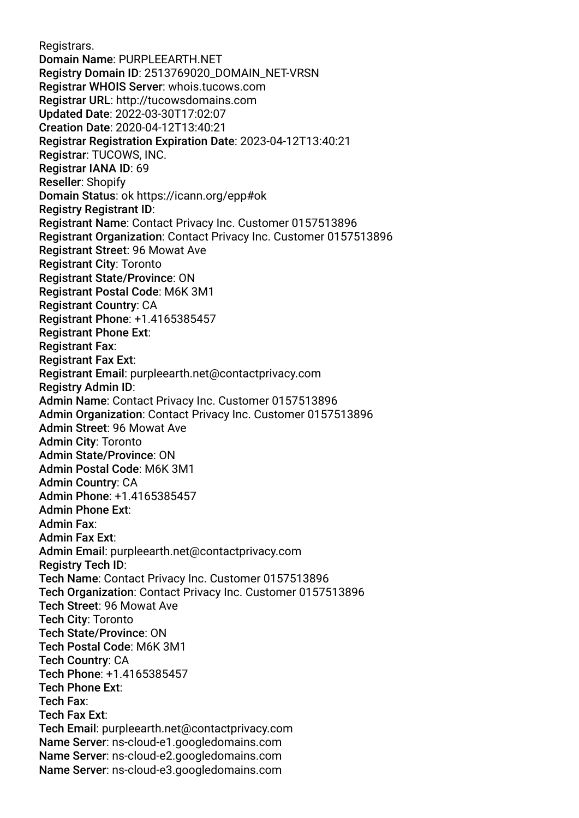Registrars. Domain Name: PURPLEEARTH.NET Registry Domain ID: 2513769020\_DOMAIN\_NET-VRSN Registrar WHOIS Server: whois.tucows.com Registrar URL: http://tucowsdomains.com Updated Date: 2022-03-30T17:02:07 Creation Date: 2020-04-12T13:40:21 Registrar Registration Expiration Date: 2023-04-12T13:40:21 Registrar: TUCOWS, INC. Registrar IANA ID: 69 Reseller: Shopify Domain Status: ok https://icann.org/epp#ok Registry Registrant ID: Registrant Name: Contact Privacy Inc. Customer 0157513896 Registrant Organization: Contact Privacy Inc. Customer 0157513896 Registrant Street: 96 Mowat Ave Registrant City: Toronto Registrant State/Province: ON Registrant Postal Code: M6K 3M1 Registrant Country: CA Registrant Phone: +1.4165385457 Registrant Phone Ext: Registrant Fax: Registrant Fax Ext: Registrant Email: purpleearth.net@contactprivacy.com Registry Admin ID: Admin Name: Contact Privacy Inc. Customer 0157513896 Admin Organization: Contact Privacy Inc. Customer 0157513896 Admin Street: 96 Mowat Ave Admin City: Toronto Admin State/Province: ON Admin Postal Code: M6K 3M1 Admin Country: CA Admin Phone: +1.4165385457 Admin Phone Ext: Admin Fax: Admin Fax Ext: Admin Email: purpleearth.net@contactprivacy.com Registry Tech ID: Tech Name: Contact Privacy Inc. Customer 0157513896 Tech Organization: Contact Privacy Inc. Customer 0157513896 Tech Street: 96 Mowat Ave Tech City: Toronto Tech State/Province: ON Tech Postal Code: M6K 3M1 Tech Country: CA Tech Phone: +1.4165385457 Tech Phone Ext: Tech Fax: Tech Fax Ext: Tech Email: purpleearth.net@contactprivacy.com Name Server: ns-cloud-e1.googledomains.com Name Server: ns-cloud-e2.googledomains.com Name Server: ns-cloud-e3.googledomains.com